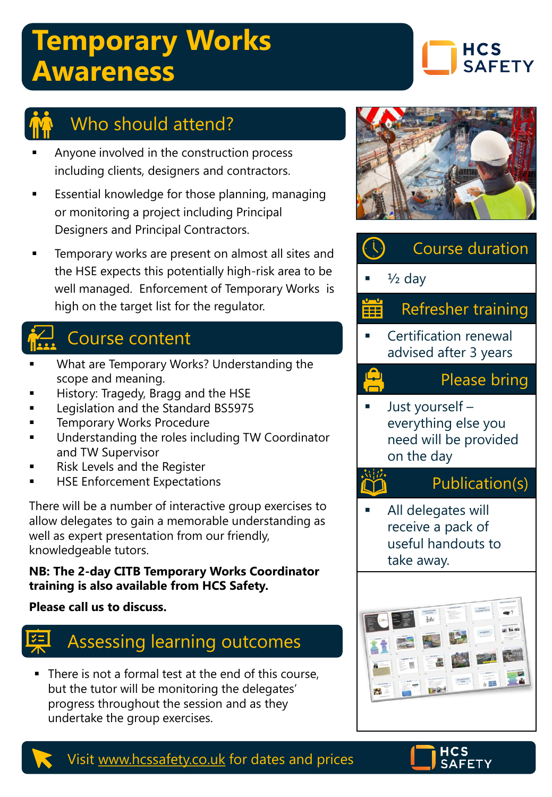## **Temporary Works Awareness**





## Who should attend?

- Anyone involved in the construction process including clients, designers and contractors.
- Essential knowledge for those planning, managing or monitoring a project including Principal Designers and Principal Contractors.
- Temporary works are present on almost all sites and the HSE expects this potentially high-risk area to be well managed. Enforcement of Temporary Works is high on the target list for the regulator.

## Course content

- What are Temporary Works? Understanding the scope and meaning.
- History: Tragedy, Bragg and the HSE
- Legislation and the Standard BS5975
- **Temporary Works Procedure**
- Understanding the roles including TW Coordinator and TW Supervisor
- Risk Levels and the Register
- **HSE Enforcement Expectations**

There will be a number of interactive group exercises to allow delegates to gain a memorable understanding as well as expert presentation from our friendly, knowledgeable tutors.

#### **NB: The 2-day CITB Temporary Works Coordinator training is also available from HCS Safety.**

#### **Please call us to discuss.**



There is not a formal test at the end of this course, but the tutor will be monitoring the delegates' progress throughout the session and as they undertake the group exercises.







& 图

### Visit [www.hcssafety.co.uk](http://www.hcssafety.co.uk/) for dates and prices